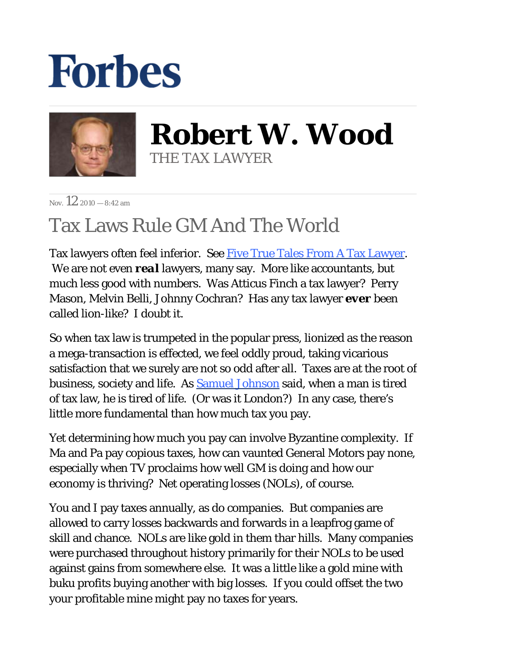## **Forbes**



**Robert W. Wood** THE TAX LAWYER

Nov.  $12.2010 - 8.42$  am

## Tax Laws Rule GM And The World

Tax lawyers often feel inferior. See [Five True Tales From A Tax Lawyer](http://www.forbes.com/2010/06/09/tax-tales-irs-sex-marriage-wrongful-imprisonment-personal-finance-robert-wood.html). We are not even *real* lawyers, many say. More like accountants, but much less good with numbers. Was Atticus Finch a tax lawyer? Perry Mason, Melvin Belli, Johnny Cochran? Has any tax lawyer *ever* been called lion-like? I doubt it.

So when tax law is trumpeted in the popular press, lionized as the reason a mega-transaction is effected, we feel oddly proud, taking vicarious satisfaction that we surely are not so odd after all. Taxes are at the root of business, society and life. As **Samuel Johnson** said, when a man is tired of tax law, he is tired of life. (Or was it London?) In any case, there's little more fundamental than how much tax you pay.

Yet determining how much you pay can involve Byzantine complexity. If Ma and Pa pay copious taxes, how can vaunted General Motors pay none, especially when TV proclaims how well GM is doing and how our economy is thriving? Net operating losses (NOLs), of course.

You and I pay taxes annually, as do companies. But companies are allowed to carry losses backwards and forwards in a leapfrog game of skill and chance. NOLs are like gold in them thar hills. Many companies were purchased throughout history primarily for their NOLs to be used against gains from somewhere else. It was a little like a gold mine with buku profits buying another with big losses. If you could offset the two your profitable mine might pay no taxes for years.